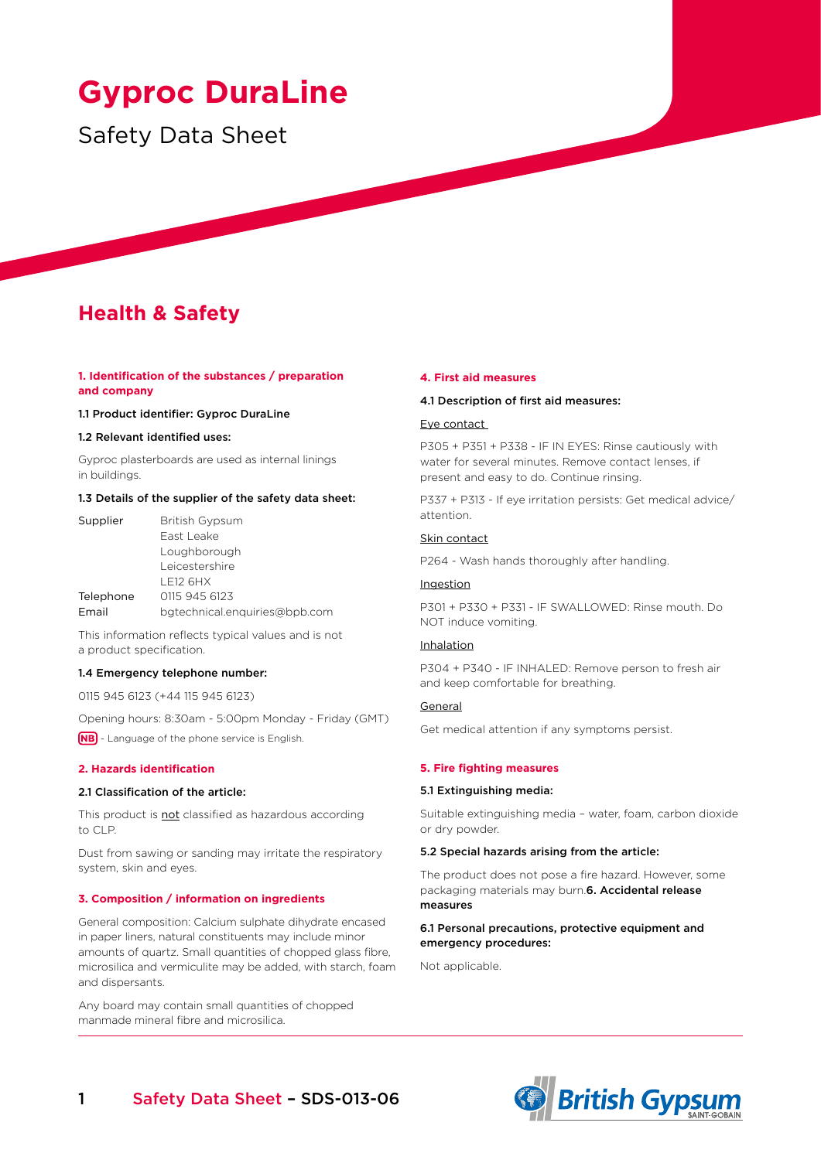# **Gyproc DuraLine**

# Safety Data Sheet

# **Health & Safety**

# **1. Identification of the substances / preparation and company**

# 1.1 Product identifier: Gyproc DuraLine

## 1.2 Relevant identified uses:

Gyproc plasterboards are used as internal linings in buildings.

#### 1.3 Details of the supplier of the safety data sheet:

| Supplier  | British Gypsum                |
|-----------|-------------------------------|
|           | East Leake                    |
|           | Loughborough                  |
|           | Leicestershire                |
|           | <b>LE12 6HX</b>               |
| Telephone | 0115 945 6123                 |
| Email     | bgtechnical.enquiries@bpb.com |

This information reflects typical values and is not a product specification.

# 1.4 Emergency telephone number:

0115 945 6123 (+44 115 945 6123)

Opening hours: 8:30am - 5:00pm Monday - Friday (GMT)

**(NB)** - Language of the phone service is English.

# **2. Hazards identification**

# 2.1 Classification of the article:

This product is **not** classified as hazardous according to CLP.

Dust from sawing or sanding may irritate the respiratory system, skin and eyes.

#### **3. Composition / information on ingredients**

General composition: Calcium sulphate dihydrate encased in paper liners, natural constituents may include minor amounts of quartz. Small quantities of chopped glass fibre, microsilica and vermiculite may be added, with starch, foam and dispersants.

Any board may contain small quantities of chopped manmade mineral fibre and microsilica.

#### **4. First aid measures**

#### 4.1 Description of first aid measures:

#### Eye contact

P305 + P351 + P338 - IF IN EYES: Rinse cautiously with water for several minutes. Remove contact lenses, if present and easy to do. Continue rinsing.

P337 + P313 - If eye irritation persists: Get medical advice/ attention.

# Skin contact

P264 - Wash hands thoroughly after handling.

# Ingestion

P301 + P330 + P331 - IF SWALLOWED: Rinse mouth. Do NOT induce vomiting.

# Inhalation

P304 + P340 - IF INHALED: Remove person to fresh air and keep comfortable for breathing.

### General

Get medical attention if any symptoms persist.

# **5. Fire fighting measures**

# 5.1 Extinguishing media:

Suitable extinguishing media – water, foam, carbon dioxide or dry powder.

#### 5.2 Special hazards arising from the article:

The product does not pose a fire hazard. However, some packaging materials may burn.6. Accidental release measures

# 6.1 Personal precautions, protective equipment and emergency procedures:

Not applicable.

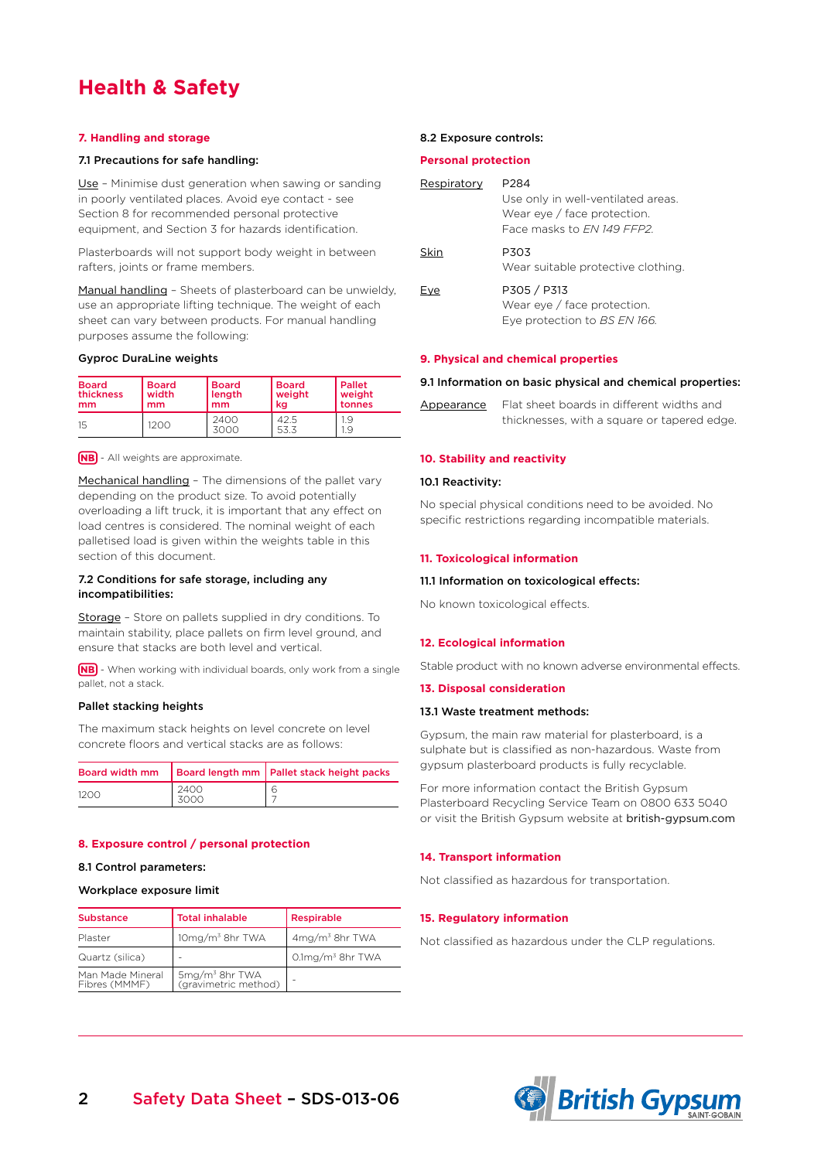# **Health & Safety**

# **7. Handling and storage**

# 7.1 Precautions for safe handling:

Use - Minimise dust generation when sawing or sanding in poorly ventilated places. Avoid eye contact - see Section 8 for recommended personal protective equipment, and Section 3 for hazards identification.

Plasterboards will not support body weight in between rafters, joints or frame members.

Manual handling – Sheets of plasterboard can be unwieldy, use an appropriate lifting technique. The weight of each sheet can vary between products. For manual handling purposes assume the following:

#### Gyproc DuraLine weights

| <b>Board</b> | <b>Board</b> | <b>Board</b> | l Board      | l Pallet   |
|--------------|--------------|--------------|--------------|------------|
| thickness    | width        | length       | weight       | weight     |
| mm           | mm           | mm           | kg           | l tonnes   |
| 15           | 1200         | 2400<br>3000 | 42.5<br>53.3 | 1.9<br>1.9 |

**NB** - All weights are approximate.

Mechanical handling - The dimensions of the pallet vary depending on the product size. To avoid potentially overloading a lift truck, it is important that any effect on load centres is considered. The nominal weight of each palletised load is given within the weights table in this section of this document.

# 7.2 Conditions for safe storage, including any incompatibilities:

Storage - Store on pallets supplied in dry conditions. To maintain stability, place pallets on firm level ground, and ensure that stacks are both level and vertical.

**(NB)** - When working with individual boards, only work from a single pallet, not a stack.

# Pallet stacking heights

The maximum stack heights on level concrete on level concrete floors and vertical stacks are as follows:

|      |              | Board width mm   Board length mm   Pallet stack height packs |
|------|--------------|--------------------------------------------------------------|
| 1200 | 2400<br>3000 |                                                              |

#### **8. Exposure control / personal protection**

#### 8.1 Control parameters:

#### Workplace exposure limit

| <b>Substance</b>                  | <b>Total inhalable</b>                             | Respirable             |  |
|-----------------------------------|----------------------------------------------------|------------------------|--|
| Plaster                           | $10mg/m3$ 8hr TWA                                  | $4mg/m3$ 8hr TWA       |  |
| Quartz (silica)                   |                                                    | $0.1$ mg/m $3$ 8hr TWA |  |
| Man Made Mineral<br>Fibres (MMMF) | 5mg/m <sup>3</sup> 8hr TWA<br>(gravimetric method) |                        |  |

#### 8.2 Exposure controls:

### **Personal protection**

| Respiratory | P284                                                              |
|-------------|-------------------------------------------------------------------|
|             | Use only in well-ventilated areas.<br>Wear eye / face protection. |
|             | Face masks to FN 149 FFP2                                         |
|             |                                                                   |
| Skin        | P303                                                              |
|             | Wear suitable protective clothing.                                |
| <b>Lve</b>  | P305 / P313                                                       |
|             | Wear eye / face protection.                                       |
|             | Eye protection to BS EN 166.                                      |
|             |                                                                   |

#### **9. Physical and chemical properties**

### 9.1 Information on basic physical and chemical properties:

| <u>Appearance</u> | Flat sheet boards in different widths and   |
|-------------------|---------------------------------------------|
|                   | thicknesses, with a square or tapered edge. |

### **10. Stability and reactivity**

# 10.1 Reactivity:

No special physical conditions need to be avoided. No specific restrictions regarding incompatible materials.

#### **11. Toxicological information**

# 11.1 Information on toxicological effects:

No known toxicological effects.

#### **12. Ecological information**

Stable product with no known adverse environmental effects.

#### **13. Disposal consideration**

#### 13.1 Waste treatment methods:

Gypsum, the main raw material for plasterboard, is a sulphate but is classified as non-hazardous. Waste from gypsum plasterboard products is fully recyclable.

For more information contact the British Gypsum Plasterboard Recycling Service Team on 0800 633 5040 or visit the British Gypsum website at british-gypsum.com

#### **14. Transport information**

Not classified as hazardous for transportation.

#### **15. Regulatory information**

Not classified as hazardous under the CLP regulations.